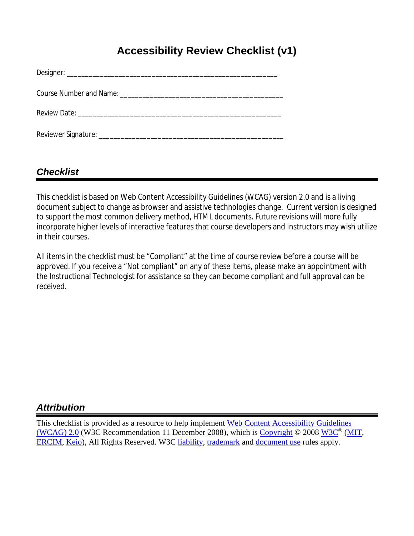# **Accessibility Review Checklist (v1)**

## *Checklist*

This checklist is based on Web Content Accessibility Guidelines (WCAG) version 2.0 and is a living document subject to change as browser and assistive technologies change. Current version is designed to support the most common delivery method, HTML documents. Future revisions will more fully incorporate higher levels of interactive features that course developers and instructors may wish utilize in their courses.

All items in the checklist must be "Compliant" at the time of course review before a course will be approved. If you receive a "Not compliant" on any of these items, please make an appointment with the Instructional Technologist for assistance so they can become compliant and full approval can be received.

### *Attribution*

This checklist is provided as a resource to help implement [Web Content Accessibility Guidelines](http://www.w3.org/TR/WCAG20/)  [\(WCAG\) 2.0](http://www.w3.org/TR/WCAG20/) (W3C Recommendation 11 December 2008), which is [Copyright](http://www.w3.org/Consortium/Legal/ipr-notice%23Copyright)  $\odot$  2008 [W3C](http://www.w3.org/)<sup>®</sup> [\(MIT,](http://www.csail.mit.edu/) [ERCIM,](http://www.ercim.org/) [Keio\)](http://www.keio.ac.jp/), All Rights Reserved. W3C [liability,](http://www.w3.org/Consortium/Legal/ipr-notice%23Legal_Disclaimer) [trademark](http://www.w3.org/Consortium/Legal/ipr-notice%23W3C_Trademarks) and [document use](http://www.w3.org/Consortium/Legal/copyright-documents) rules apply.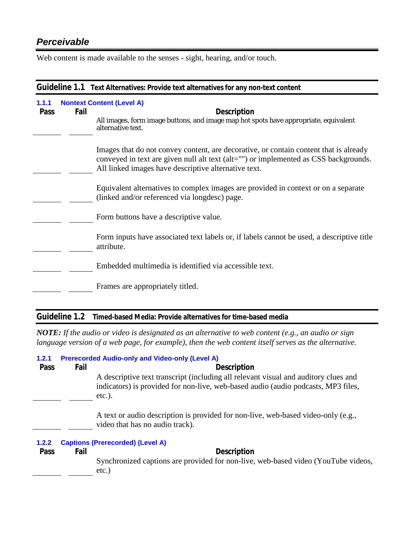## *Perceivable*

Web content is made available to the senses - sight, hearing, and/or touch.

|                      | Guideline 1.1 Text Alternatives: Provide text alternatives for any non-text content |                                                                                                                                                                                                                                       |  |
|----------------------|-------------------------------------------------------------------------------------|---------------------------------------------------------------------------------------------------------------------------------------------------------------------------------------------------------------------------------------|--|
| 1.1.1<br><b>Pass</b> | Fail                                                                                | <b>Nontext Content (Level A)</b><br><b>Description</b><br>All images, form image buttons, and image map hot spots have appropriate, equivalent<br>alternative text.                                                                   |  |
|                      |                                                                                     | Images that do not convey content, are decorative, or contain content that is already<br>conveyed in text are given null alt text (alt="") or implemented as CSS backgrounds.<br>All linked images have descriptive alternative text. |  |
|                      |                                                                                     | Equivalent alternatives to complex images are provided in context or on a separate<br>(linked and/or referenced via longdesc) page.                                                                                                   |  |
|                      |                                                                                     | Form buttons have a descriptive value.                                                                                                                                                                                                |  |
|                      |                                                                                     | Form inputs have associated text labels or, if labels cannot be used, a descriptive title<br>attribute.                                                                                                                               |  |
|                      |                                                                                     | Embedded multimedia is identified via accessible text.                                                                                                                                                                                |  |
|                      |                                                                                     | Frames are appropriately titled.                                                                                                                                                                                                      |  |

#### **Guideline 1.2 Timed-based Media: Provide alternatives for time-based media**

*NOTE: If the audio or video is designated as an alternative to web content (e.g., an audio or sign language version of a web page, for example), then the web content itself serves as the alternative.*

| 1.2.1<br>Pass | Fail | <b>Prerecorded Audio-only and Video-only (Level A)</b><br><b>Description</b>                                                                                                          |  |
|---------------|------|---------------------------------------------------------------------------------------------------------------------------------------------------------------------------------------|--|
|               |      | A descriptive text transcript (including all relevant visual and auditory clues and<br>indicators) is provided for non-live, web-based audio (audio podcasts, MP3 files,<br>$etc.$ ). |  |
|               |      | A text or audio description is provided for non-live, web-based video-only (e.g.,<br>video that has no audio track).                                                                  |  |
| 1.2.2         |      | <b>Captions (Prerecorded) (Level A)</b>                                                                                                                                               |  |
| Pass          | Fail | <b>Description</b>                                                                                                                                                                    |  |
|               |      | Synchronized captions are provided for non-live, web-based video (YouTube videos,<br>$etc.$ )                                                                                         |  |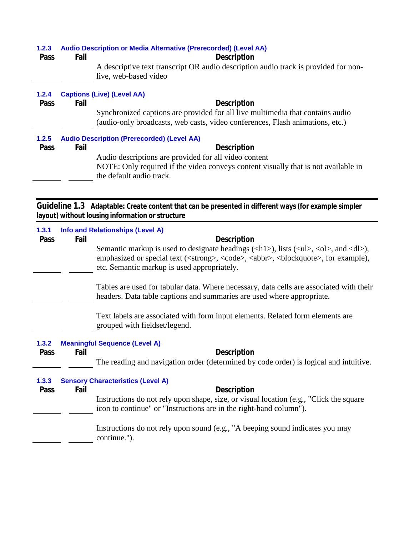| 1.2.3<br>Pass | Fail | <b>Audio Description or Media Alternative (Prerecorded) (Level AA)</b><br><b>Description</b><br>A descriptive text transcript OR audio description audio track is provided for non-<br>live, web-based video |
|---------------|------|--------------------------------------------------------------------------------------------------------------------------------------------------------------------------------------------------------------|
| 1.2.4         |      | <b>Captions (Live) (Level AA)</b>                                                                                                                                                                            |
| <b>Pass</b>   | Fail | <b>Description</b>                                                                                                                                                                                           |
|               |      | Synchronized captions are provided for all live multimedia that contains audio<br>(audio-only broadcasts, web casts, video conferences, Flash animations, etc.)                                              |
| 1.2.5         |      | <b>Audio Description (Prerecorded) (Level AA)</b>                                                                                                                                                            |
| <b>Pass</b>   | Fail | <b>Description</b>                                                                                                                                                                                           |
|               |      | Audio descriptions are provided for all video content                                                                                                                                                        |
|               |      | NOTE: Only required if the video conveys content visually that is not available in<br>the default audio track.                                                                                               |
|               |      | Guideline 1.3 Adaptable: Create content that can be presented in different ways (for example simpler                                                                                                         |

presented in different ways (for example simpler **layout) without lousing information or structure**

| 1.3.1 | <b>Info and Relationships (Level A)</b>  |      |                                                                                                                                                                                                                                                                                                                             |
|-------|------------------------------------------|------|-----------------------------------------------------------------------------------------------------------------------------------------------------------------------------------------------------------------------------------------------------------------------------------------------------------------------------|
| Pass  |                                          | Fail | <b>Description</b>                                                                                                                                                                                                                                                                                                          |
|       |                                          |      | Semantic markup is used to designate headings $(\langle h1 \rangle)$ , lists $(\langle ul \rangle, \langle ol \rangle,$ and $\langle dl \rangle)$ ,<br>emphasized or special text ( <strong>, <code>, <abbr>, <br/>&gt;blockquote&gt;, for example),<br/>etc. Semantic markup is used appropriately.</abbr></code></strong> |
|       |                                          |      | Tables are used for tabular data. Where necessary, data cells are associated with their<br>headers. Data table captions and summaries are used where appropriate.                                                                                                                                                           |
|       |                                          |      | Text labels are associated with form input elements. Related form elements are<br>grouped with fieldset/legend.                                                                                                                                                                                                             |
| 1.3.2 |                                          |      | <b>Meaningful Sequence (Level A)</b>                                                                                                                                                                                                                                                                                        |
| Pass  |                                          | Fail | <b>Description</b>                                                                                                                                                                                                                                                                                                          |
|       |                                          |      | The reading and navigation order (determined by code order) is logical and intuitive.                                                                                                                                                                                                                                       |
| 1.3.3 | <b>Sensory Characteristics (Level A)</b> |      |                                                                                                                                                                                                                                                                                                                             |
| Pass  |                                          | Fail | <b>Description</b>                                                                                                                                                                                                                                                                                                          |
|       |                                          |      | Instructions do not rely upon shape, size, or visual location (e.g., "Click the square<br>icon to continue" or "Instructions are in the right-hand column").                                                                                                                                                                |
|       |                                          |      | Instructions do not rely upon sound (e.g., "A beeping sound indicates you may<br>continue.").                                                                                                                                                                                                                               |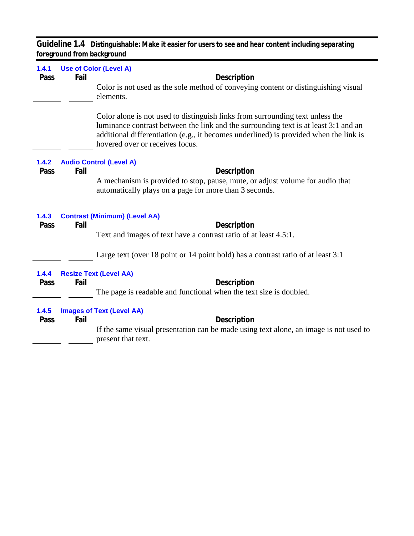**Guideline 1.4 Distinguishable: Make it easier for users to see and hear content including separating foreground from background**

| 1.4.1<br>Pass | Fail | <b>Use of Color (Level A)</b><br><b>Description</b>                                                                                                                                                                                                                                              |
|---------------|------|--------------------------------------------------------------------------------------------------------------------------------------------------------------------------------------------------------------------------------------------------------------------------------------------------|
|               |      | Color is not used as the sole method of conveying content or distinguishing visual<br>elements.                                                                                                                                                                                                  |
|               |      | Color alone is not used to distinguish links from surrounding text unless the<br>luminance contrast between the link and the surrounding text is at least 3:1 and an<br>additional differentiation (e.g., it becomes underlined) is provided when the link is<br>hovered over or receives focus. |
| 1.4.2         |      | <b>Audio Control (Level A)</b>                                                                                                                                                                                                                                                                   |
| Pass          | Fail | Description<br>A mechanism is provided to stop, pause, mute, or adjust volume for audio that<br>automatically plays on a page for more than 3 seconds.                                                                                                                                           |
| 1.4.3         |      | <b>Contrast (Minimum) (Level AA)</b>                                                                                                                                                                                                                                                             |
| Pass          | Fail | Description<br>Text and images of text have a contrast ratio of at least 4.5:1.                                                                                                                                                                                                                  |
|               |      |                                                                                                                                                                                                                                                                                                  |
|               |      | Large text (over 18 point or 14 point bold) has a contrast ratio of at least 3:1                                                                                                                                                                                                                 |
| 1.4.4         |      | <b>Resize Text (Level AA)</b>                                                                                                                                                                                                                                                                    |
| Pass          | Fail | Description<br>The page is readable and functional when the text size is doubled.                                                                                                                                                                                                                |
|               |      |                                                                                                                                                                                                                                                                                                  |
| 1.4.5<br>Pass | Fail | <b>Images of Text (Level AA)</b><br><b>Description</b>                                                                                                                                                                                                                                           |
|               |      | If the same visual presentation can be made using text alone, an image is not used to<br>present that text.                                                                                                                                                                                      |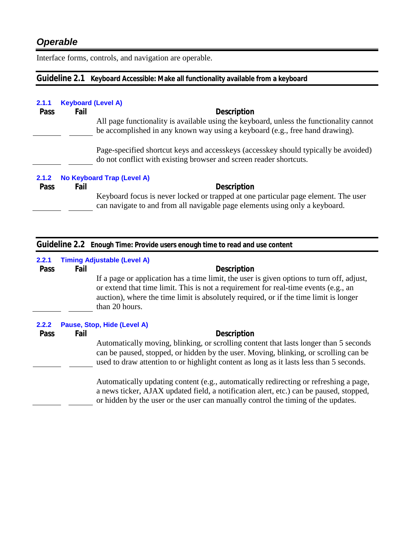Interface forms, controls, and navigation are operable.

### **Guideline 2.1 Keyboard Accessible: Make all functionality available from a keyboard**

| 2.1.1       | <b>Keyboard (Level A)</b> |                                                                                                                                                                   |
|-------------|---------------------------|-------------------------------------------------------------------------------------------------------------------------------------------------------------------|
| <b>Pass</b> | Fail                      | <b>Description</b>                                                                                                                                                |
|             |                           | All page functionality is available using the keyboard, unless the functionality cannot                                                                           |
|             |                           | be accomplished in any known way using a keyboard (e.g., free hand drawing).                                                                                      |
|             |                           | Page-specified shortcut keys and access keys (access key should typically be avoided)<br>do not conflict with existing browser and screen reader shortcuts.       |
| 2.1.2       |                           | No Keyboard Trap (Level A)                                                                                                                                        |
| Pass        | Fail                      | <b>Description</b>                                                                                                                                                |
|             |                           | Keyboard focus is never locked or trapped at one particular page element. The user<br>can navigate to and from all navigable page elements using only a keyboard. |

| Guideline 2.2 Enough Time: Provide users enough time to read and use content |                                    |                                                                                                                                                                                                                                                                                             |  |  |
|------------------------------------------------------------------------------|------------------------------------|---------------------------------------------------------------------------------------------------------------------------------------------------------------------------------------------------------------------------------------------------------------------------------------------|--|--|
| 2.2.1                                                                        | <b>Timing Adjustable (Level A)</b> |                                                                                                                                                                                                                                                                                             |  |  |
| Pass                                                                         | Fail                               | <b>Description</b>                                                                                                                                                                                                                                                                          |  |  |
|                                                                              |                                    | If a page or application has a time limit, the user is given options to turn off, adjust,<br>or extend that time limit. This is not a requirement for real-time events (e.g., an<br>auction), where the time limit is absolutely required, or if the time limit is longer<br>than 20 hours. |  |  |
| 2.2.2                                                                        |                                    | Pause, Stop, Hide (Level A)                                                                                                                                                                                                                                                                 |  |  |
| <b>Pass</b>                                                                  | Fail                               | <b>Description</b>                                                                                                                                                                                                                                                                          |  |  |
|                                                                              |                                    | Automatically moving, blinking, or scrolling content that lasts longer than 5 seconds<br>can be paused, stopped, or hidden by the user. Moving, blinking, or scrolling can be<br>used to draw attention to or highlight content as long as it lasts less than 5 seconds.                    |  |  |
|                                                                              |                                    | Automatically updating content (e.g., automatically redirecting or refreshing a page,<br>a news ticker, AJAX updated field, a notification alert, etc.) can be paused, stopped,<br>or hidden by the user or the user can manually control the timing of the updates.                        |  |  |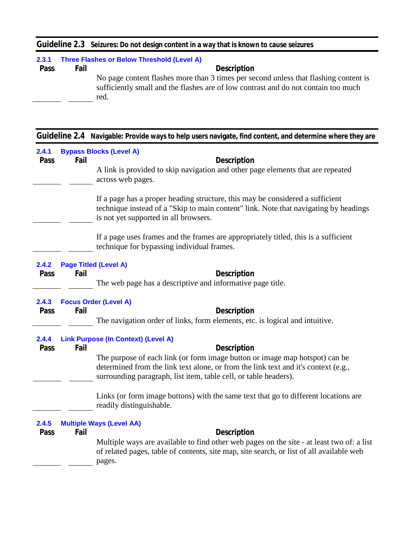|  | Guideline 2.3 Seizures: Do not design content in a way that is known to cause seizures |  |
|--|----------------------------------------------------------------------------------------|--|
|--|----------------------------------------------------------------------------------------|--|

| 2.3.1       |      | Three Flashes or Below Threshold (Level A)                                                                                                                                         |
|-------------|------|------------------------------------------------------------------------------------------------------------------------------------------------------------------------------------|
| <b>Pass</b> | Fail | <b>Description</b>                                                                                                                                                                 |
|             |      | No page content flashes more than 3 times per second unless that flashing content is<br>sufficiently small and the flashes are of low contrast and do not contain too much<br>red. |

| 2.4.1<br>Pass | Fail | <b>Bypass Blocks (Level A)</b><br>Description                                                        |
|---------------|------|------------------------------------------------------------------------------------------------------|
|               |      |                                                                                                      |
|               |      | A link is provided to skip navigation and other page elements that are repeated<br>across web pages. |
|               |      |                                                                                                      |
|               |      | If a page has a proper heading structure, this may be considered a sufficient                        |
|               |      | technique instead of a "Skip to main content" link. Note that navigating by headings                 |
|               |      | is not yet supported in all browsers.                                                                |
|               |      | If a page uses frames and the frames are appropriately titled, this is a sufficient                  |
|               |      | technique for bypassing individual frames.                                                           |
| 2.4.2         |      | <b>Page Titled (Level A)</b>                                                                         |
| Pass          | Fail | <b>Description</b>                                                                                   |
|               |      | The web page has a descriptive and informative page title.                                           |
|               |      |                                                                                                      |
| 2.4.3         |      | <b>Focus Order (Level A)</b>                                                                         |
| Pass          | Fail | <b>Description</b>                                                                                   |
|               |      | The navigation order of links, form elements, etc. is logical and intuitive.                         |
| 2.4.4         |      | <b>Link Purpose (In Context) (Level A)</b>                                                           |
| Pass          | Fail | Description                                                                                          |
|               |      | The purpose of each link (or form image button or image map hotspot) can be                          |
|               |      | determined from the link text alone, or from the link text and it's context (e.g.,                   |
|               |      | surrounding paragraph, list item, table cell, or table headers).                                     |
|               |      | Links (or form image buttons) with the same text that go to different locations are                  |
|               |      | readily distinguishable.                                                                             |
| 2.4.5         |      | <b>Multiple Ways (Level AA)</b>                                                                      |
| Pass          | Fail | <b>Description</b>                                                                                   |
|               |      | Multiple ways are available to find other web pages on the site - at least two of: a list            |
|               |      | of related pages, table of contents, site map, site search, or list of all available web             |
|               |      | pages.                                                                                               |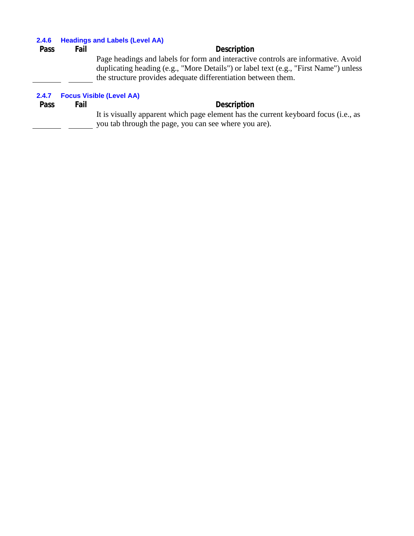#### **2.4.6 Headings and Labels (Level AA)**

| Pass        | Fail | <b>Description</b>                                                                   |  |  |
|-------------|------|--------------------------------------------------------------------------------------|--|--|
|             |      | Page headings and labels for form and interactive controls are informative. Avoid    |  |  |
|             |      | duplicating heading (e.g., "More Details") or label text (e.g., "First Name") unless |  |  |
|             |      | the structure provides adequate differentiation between them.                        |  |  |
|             |      |                                                                                      |  |  |
| 2.4.7       |      | <b>Focus Visible (Level AA)</b>                                                      |  |  |
| <b>Pass</b> | Fail | <b>Description</b>                                                                   |  |  |

It is visually apparent which page element has the current keyboard focus (i.e., as you tab through the page, you can see where you are).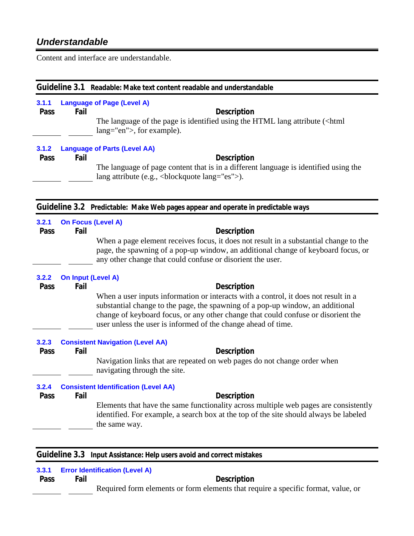# *Understandable*

Content and interface are understandable.

| Guideline 3.1 Readable: Make text content readable and understandable            |                                   |                                                                                                                                                                                                                                                                                                                                                   |  |
|----------------------------------------------------------------------------------|-----------------------------------|---------------------------------------------------------------------------------------------------------------------------------------------------------------------------------------------------------------------------------------------------------------------------------------------------------------------------------------------------|--|
| 3.1.1<br>Pass                                                                    | Fail                              | <b>Language of Page (Level A)</b><br><b>Description</b><br>The language of the page is identified using the HTML lang attribute ( <html)<br>lang="en"&gt;, for example).</html)<br>                                                                                                                                                               |  |
| 3.1.2<br>Pass                                                                    | Fail                              | <b>Language of Parts (Level AA)</b><br><b>Description</b><br>The language of page content that is in a different language is identified using the<br>lang attribute (e.g.,<br>blockquote lang="es">).                                                                                                                                             |  |
| Guideline 3.2 Predictable: Make Web pages appear and operate in predictable ways |                                   |                                                                                                                                                                                                                                                                                                                                                   |  |
| 3.2.1<br>Pass                                                                    | <b>On Focus (Level A)</b><br>Fail | <b>Description</b><br>When a page element receives focus, it does not result in a substantial change to the<br>page, the spawning of a pop-up window, an additional change of keyboard focus, or<br>any other change that could confuse or disorient the user.                                                                                    |  |
| 3.2.2<br>Pass                                                                    | <b>On Input (Level A)</b><br>Fail | <b>Description</b><br>When a user inputs information or interacts with a control, it does not result in a<br>substantial change to the page, the spawning of a pop-up window, an additional<br>change of keyboard focus, or any other change that could confuse or disorient the<br>user unless the user is informed of the change ahead of time. |  |
| 3.2.3<br>Pass                                                                    | Fail                              | <b>Consistent Navigation (Level AA)</b><br><b>Description</b><br>Navigation links that are repeated on web pages do not change order when<br>navigating through the site.                                                                                                                                                                         |  |
| 3.2.4<br>Pass                                                                    | Fail                              | <b>Consistent Identification (Level AA)</b><br><b>Description</b><br>Elements that have the same functionality across multiple web pages are consistently<br>identified. For example, a search box at the top of the site should always be labeled<br>the same way.                                                                               |  |

|  | Guideline 3.3 Input Assistance: Help users avoid and correct mistakes |  |  |
|--|-----------------------------------------------------------------------|--|--|
|--|-----------------------------------------------------------------------|--|--|

| 3.3.1 | <b>Error Identification (Level A)</b> |                                                                                   |  |
|-------|---------------------------------------|-----------------------------------------------------------------------------------|--|
| Pass  | Fail                                  | Description                                                                       |  |
|       |                                       | Required form elements or form elements that require a specific format, value, or |  |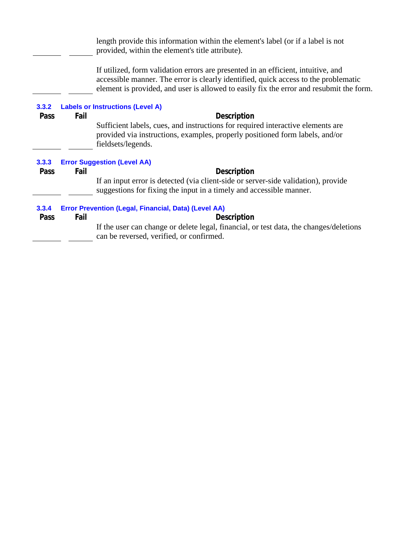length provide this information within the element's label (or if a label is not provided, within the element's title attribute).

If utilized, form validation errors are presented in an efficient, intuitive, and accessible manner. The error is clearly identified, quick access to the problematic element is provided, and user is allowed to easily fix the error and resubmit the form.

| 3.3.2<br>Pass | Fail                                                 | <b>Labels or Instructions (Level A)</b><br><b>Description</b><br>Sufficient labels, cues, and instructions for required interactive elements are<br>provided via instructions, examples, properly positioned form labels, and/or<br>fieldsets/legends. |
|---------------|------------------------------------------------------|--------------------------------------------------------------------------------------------------------------------------------------------------------------------------------------------------------------------------------------------------------|
| 3.3.3         | <b>Error Suggestion (Level AA)</b>                   |                                                                                                                                                                                                                                                        |
| Pass          | Fail                                                 | <b>Description</b>                                                                                                                                                                                                                                     |
|               |                                                      | If an input error is detected (via client-side or server-side validation), provide                                                                                                                                                                     |
|               |                                                      | suggestions for fixing the input in a timely and accessible manner.                                                                                                                                                                                    |
| 3.3.4         | Error Prevention (Legal, Financial, Data) (Level AA) |                                                                                                                                                                                                                                                        |
| Pass          | Fail                                                 | <b>Description</b>                                                                                                                                                                                                                                     |
|               |                                                      | If the user can change or delete legal, financial, or test data, the changes/deletions<br>can be reversed, verified, or confirmed.                                                                                                                     |